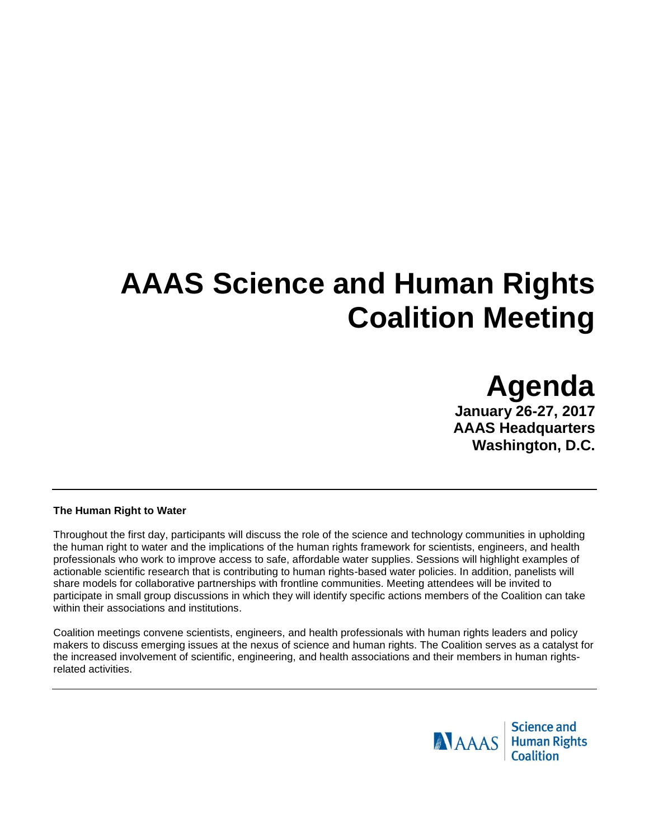# **AAAS Science and Human Rights Coalition Meeting**

**Agenda January 26-27, 2017 AAAS Headquarters Washington, D.C.**

### **The Human Right to Water**

Throughout the first day, participants will discuss the role of the science and technology communities in upholding the human right to water and the implications of the human rights framework for scientists, engineers, and health professionals who work to improve access to safe, affordable water supplies. Sessions will highlight examples of actionable scientific research that is contributing to human rights-based water policies. In addition, panelists will share models for collaborative partnerships with frontline communities. Meeting attendees will be invited to participate in small group discussions in which they will identify specific actions members of the Coalition can take within their associations and institutions.

Coalition meetings convene scientists, engineers, and health professionals with human rights leaders and policy makers to discuss emerging issues at the nexus of science and human rights. The Coalition serves as a catalyst for the increased involvement of scientific, engineering, and health associations and their members in human rightsrelated activities.

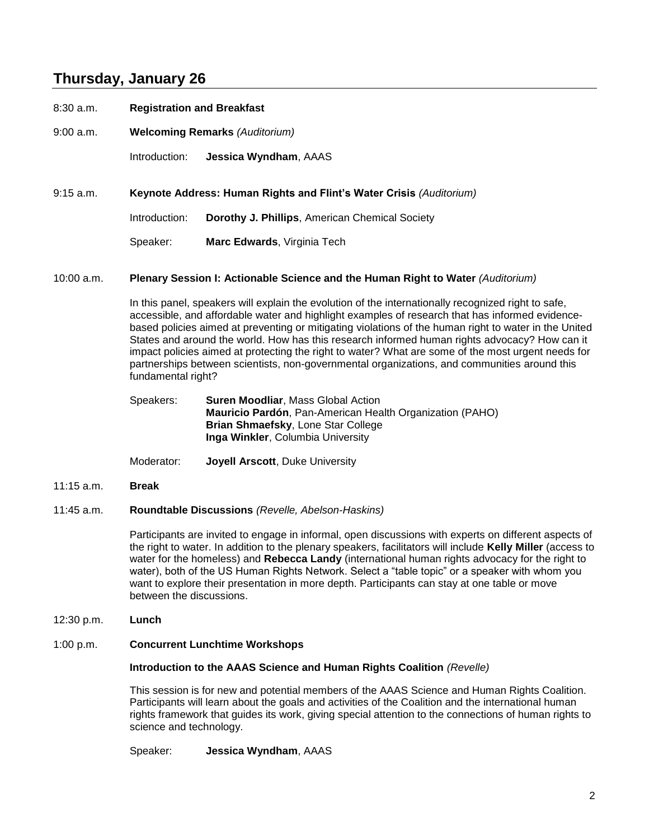# **Thursday, January 26**

| 8:30 a.m. | <b>Registration and Breakfast</b>                                   |                                                       |
|-----------|---------------------------------------------------------------------|-------------------------------------------------------|
| 9:00 a.m. | <b>Welcoming Remarks (Auditorium)</b>                               |                                                       |
|           | Introduction:                                                       | <b>Jessica Wyndham, AAAS</b>                          |
| 9:15 a.m. | Keynote Address: Human Rights and Flint's Water Crisis (Auditorium) |                                                       |
|           | Introduction:                                                       | <b>Dorothy J. Phillips, American Chemical Society</b> |
|           | Speaker:                                                            | Marc Edwards, Virginia Tech                           |

### 10:00 a.m. **Plenary Session I: Actionable Science and the Human Right to Water** *(Auditorium)*

In this panel, speakers will explain the evolution of the internationally recognized right to safe, accessible, and affordable water and highlight examples of research that has informed evidencebased policies aimed at preventing or mitigating violations of the human right to water in the United States and around the world. How has this research informed human rights advocacy? How can it impact policies aimed at protecting the right to water? What are some of the most urgent needs for partnerships between scientists, non-governmental organizations, and communities around this fundamental right?

Speakers: **Suren Moodliar**, Mass Global Action **Mauricio Pardón**, Pan-American Health Organization (PAHO) **Brian Shmaefsky**, Lone Star College **Inga Winkler**, Columbia University

Moderator: **Joyell Arscott**, Duke University

11:15 a.m. **Break**

### 11:45 a.m. **Roundtable Discussions** *(Revelle, Abelson-Haskins)*

Participants are invited to engage in informal, open discussions with experts on different aspects of the right to water. In addition to the plenary speakers, facilitators will include **Kelly Miller** (access to water for the homeless) and **Rebecca Landy** (international human rights advocacy for the right to water), both of the US Human Rights Network. Select a "table topic" or a speaker with whom you want to explore their presentation in more depth. Participants can stay at one table or move between the discussions.

12:30 p.m. **Lunch**

#### 1:00 p.m. **Concurrent Lunchtime Workshops**

#### **Introduction to the AAAS Science and Human Rights Coalition** *(Revelle)*

This session is for new and potential members of the AAAS Science and Human Rights Coalition. Participants will learn about the goals and activities of the Coalition and the international human rights framework that guides its work, giving special attention to the connections of human rights to science and technology.

Speaker: **Jessica Wyndham**, AAAS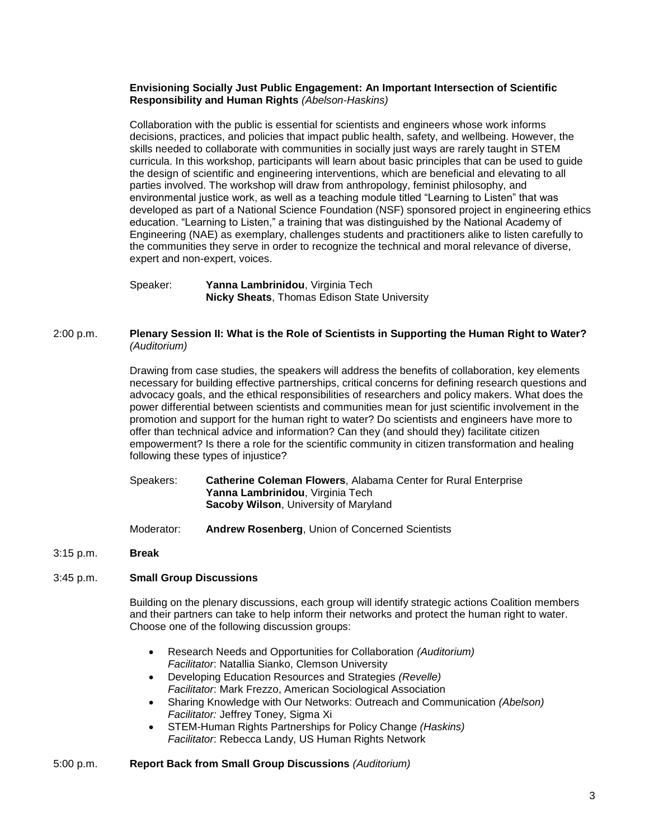### **Envisioning Socially Just Public Engagement: An Important Intersection of Scientific Responsibility and Human Rights** *(Abelson-Haskins)*

Collaboration with the public is essential for scientists and engineers whose work informs decisions, practices, and policies that impact public health, safety, and wellbeing. However, the skills needed to collaborate with communities in socially just ways are rarely taught in STEM curricula. In this workshop, participants will learn about basic principles that can be used to guide the design of scientific and engineering interventions, which are beneficial and elevating to all parties involved. The workshop will draw from anthropology, feminist philosophy, and environmental justice work, as well as a teaching module titled "Learning to Listen" that was developed as part of a National Science Foundation (NSF) sponsored project in engineering ethics education. "Learning to Listen," a training that was distinguished by the National Academy of Engineering (NAE) as exemplary, challenges students and practitioners alike to listen carefully to the communities they serve in order to recognize the technical and moral relevance of diverse, expert and non-expert, voices.

Speaker: **Yanna Lambrinidou**, Virginia Tech **Nicky Sheats**, Thomas Edison State University

## 2:00 p.m. **Plenary Session II: What is the Role of Scientists in Supporting the Human Right to Water?**  *(Auditorium)*

Drawing from case studies, the speakers will address the benefits of collaboration, key elements necessary for building effective partnerships, critical concerns for defining research questions and advocacy goals, and the ethical responsibilities of researchers and policy makers. What does the power differential between scientists and communities mean for just scientific involvement in the promotion and support for the human right to water? Do scientists and engineers have more to offer than technical advice and information? Can they (and should they) facilitate citizen empowerment? Is there a role for the scientific community in citizen transformation and healing following these types of injustice?

- Speakers: **Catherine Coleman Flowers**, Alabama Center for Rural Enterprise **Yanna Lambrinidou**, Virginia Tech **Sacoby Wilson**, University of Maryland
- Moderator: **Andrew Rosenberg**, Union of Concerned Scientists

#### 3:15 p.m. **Break**

### 3:45 p.m. **Small Group Discussions**

Building on the plenary discussions, each group will identify strategic actions Coalition members and their partners can take to help inform their networks and protect the human right to water. Choose one of the following discussion groups:

- Research Needs and Opportunities for Collaboration *(Auditorium) Facilitator*: Natallia Sianko, Clemson University
- Developing Education Resources and Strategies *(Revelle) Facilitator*: Mark Frezzo, American Sociological Association
- Sharing Knowledge with Our Networks: Outreach and Communication *(Abelson) Facilitator:* Jeffrey Toney, Sigma Xi
- STEM-Human Rights Partnerships for Policy Change *(Haskins) Facilitator*: Rebecca Landy, US Human Rights Network

### 5:00 p.m. **Report Back from Small Group Discussions** *(Auditorium)*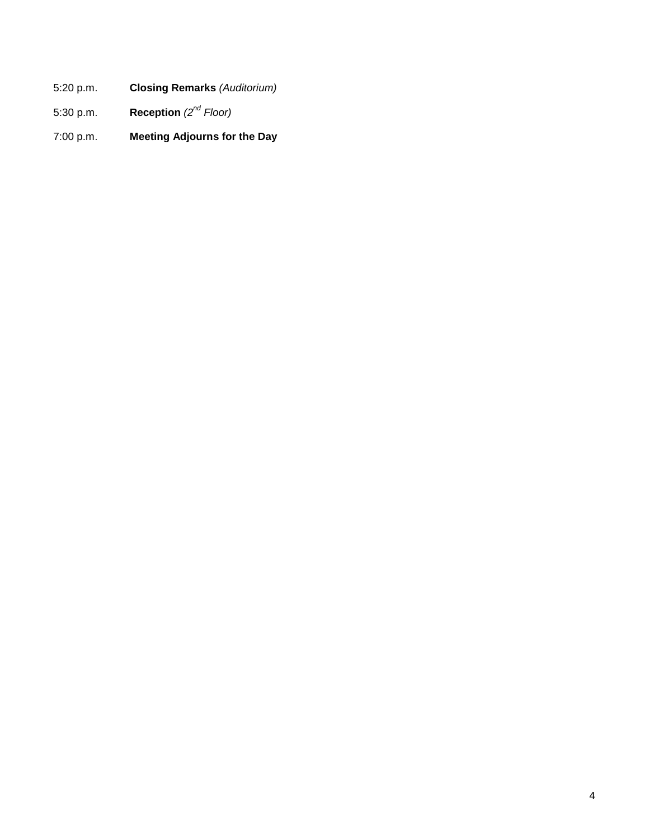- 5:20 p.m. **Closing Remarks** *(Auditorium)*
- 5:30 p.m. **Reception** *(2nd Floor)*
- 7:00 p.m. **Meeting Adjourns for the Day**